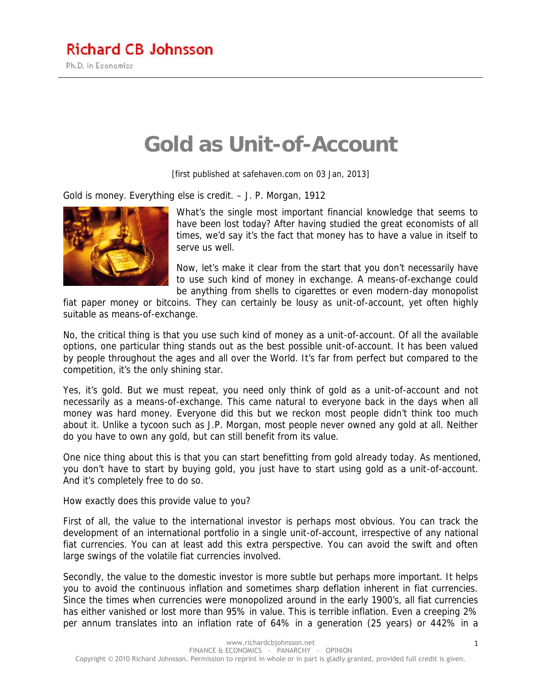## **Gold as Unit-of-Account**

[first published at safehaven.com on 03 Jan, 2013]

*Gold is money. Everything else is credit. – J. P. Morgan, 1912*



What's the single most important financial knowledge that seems to have been lost today? After having studied the great economists of all times, we'd say it's the fact that money has to have a value in itself to serve us well.

Now, let's make it clear from the start that you don't necessarily have to use such kind of money in exchange. A means-of-exchange could be anything from shells to cigarettes or even modern-day monopolist

fiat paper money or bitcoins. They can certainly be lousy as unit-of-account, yet often highly suitable as means-of-exchange.

No, the critical thing is that you use such kind of money as a unit-of-account. Of all the available options, one particular thing stands out as the best possible unit-of-account. It has been valued by people throughout the ages and all over the World. It's far from perfect but compared to the competition, it's the only shining star.

Yes, it's gold. But we must repeat, you need only think of gold as a unit-of-account and not necessarily as a means-of-exchange. This came natural to everyone back in the days when all money was hard money. Everyone did this but we reckon most people didn't think too much about it. Unlike a tycoon such as J.P. Morgan, most people never owned any gold at all. Neither do you have to own any gold, but can still benefit from its value.

One nice thing about this is that you can start benefitting from gold already today. As mentioned, you don't have to start by buying gold, you just have to start using gold as a unit-of-account. And it's completely free to do so.

How exactly does this provide value to you?

First of all, the value to the international investor is perhaps most obvious. You can track the development of an international portfolio in a single unit-of-account, irrespective of any national fiat currencies. You can at least add this extra perspective. You can avoid the swift and often large swings of the volatile fiat currencies involved.

Secondly, the value to the domestic investor is more subtle but perhaps more important. It helps you to avoid the continuous inflation and sometimes sharp deflation inherent in fiat currencies. Since the times when currencies were monopolized around in the early 1900's, all fiat currencies has either vanished or lost more than 95% in value. This is terrible inflation. Even a creeping 2% per annum translates into an inflation rate of 64% in a generation (25 years) or 442% in a

1